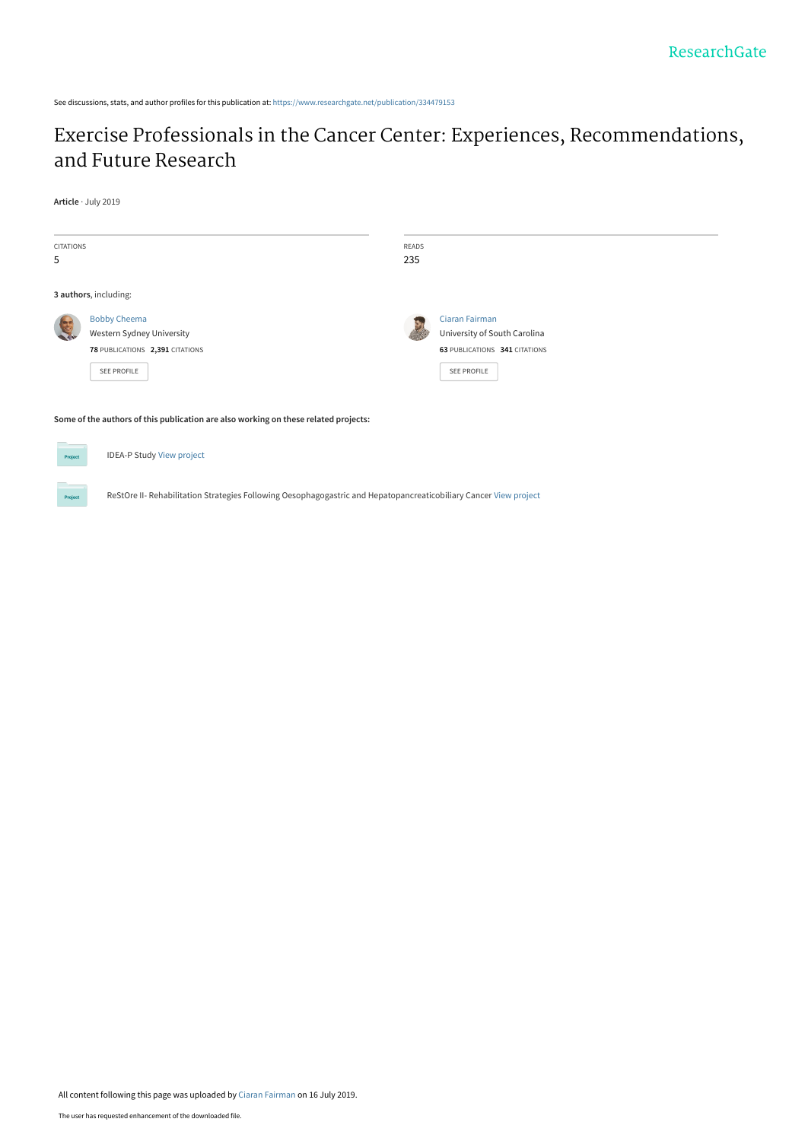See discussions, stats, and author profiles for this publication at: [https://www.researchgate.net/publication/334479153](https://www.researchgate.net/publication/334479153_Exercise_Professionals_in_the_Cancer_Center_Experiences_Recommendations_and_Future_Research?enrichId=rgreq-ac6a2ed9eaefa69cebf8b60e4b327bb7-XXX&enrichSource=Y292ZXJQYWdlOzMzNDQ3OTE1MztBUzo3ODExNzE4NTIwNTQ1MjhAMTU2MzI1NzI5MTEwMA%3D%3D&el=1_x_2&_esc=publicationCoverPdf)

## [Exercise Professionals in the Cancer Center: Experiences, Recommendations,](https://www.researchgate.net/publication/334479153_Exercise_Professionals_in_the_Cancer_Center_Experiences_Recommendations_and_Future_Research?enrichId=rgreq-ac6a2ed9eaefa69cebf8b60e4b327bb7-XXX&enrichSource=Y292ZXJQYWdlOzMzNDQ3OTE1MztBUzo3ODExNzE4NTIwNTQ1MjhAMTU2MzI1NzI5MTEwMA%3D%3D&el=1_x_3&_esc=publicationCoverPdf) and Future Research

**Article** · July 2019

| <b>CITATIONS</b><br>5                                                               |                                                                                                           | READS<br>235 |                                                                                                       |  |  |  |
|-------------------------------------------------------------------------------------|-----------------------------------------------------------------------------------------------------------|--------------|-------------------------------------------------------------------------------------------------------|--|--|--|
|                                                                                     | 3 authors, including:                                                                                     |              |                                                                                                       |  |  |  |
|                                                                                     | <b>Bobby Cheema</b><br>Western Sydney University<br>78 PUBLICATIONS 2,391 CITATIONS<br><b>SEE PROFILE</b> |              | <b>Ciaran Fairman</b><br>University of South Carolina<br>63 PUBLICATIONS 341 CITATIONS<br>SEE PROFILE |  |  |  |
| Some of the authors of this publication are also working on these related projects: |                                                                                                           |              |                                                                                                       |  |  |  |

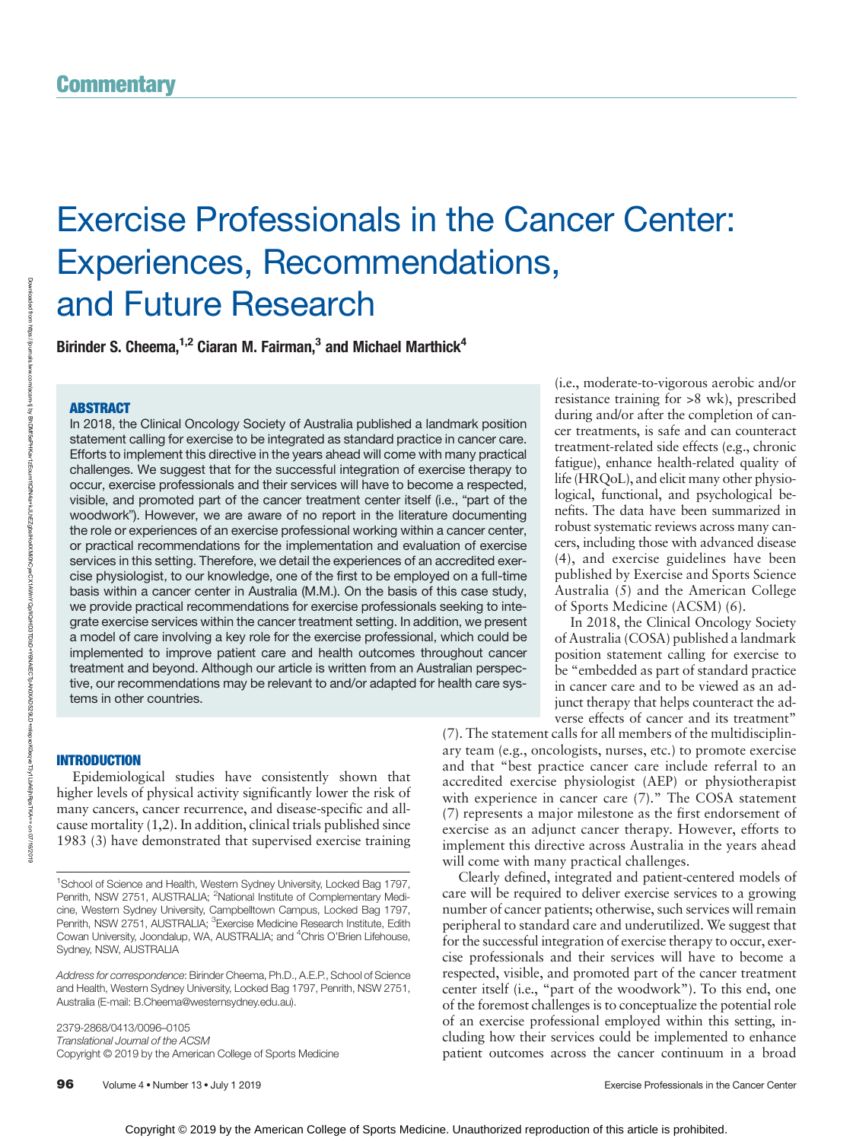# Exercise Professionals in the Cancer Center: Experiences, Recommendations, and Future Research

Birinder S. Cheema,<sup>1,2</sup> Ciaran M. Fairman,<sup>3</sup> and Michael Marthick<sup>4</sup>

### ABSTRACT

Downloaded from

https://journals.lww.com/acsm-tj

ৼ

In 2018, the Clinical Oncology Society of Australia published a landmark position statement calling for exercise to be integrated as standard practice in cancer care. Efforts to implement this directive in the years ahead will come with many practical challenges. We suggest that for the successful integration of exercise therapy to occur, exercise professionals and their services will have to become a respected, visible, and promoted part of the cancer treatment center itself (i.e., "part of the woodwork"). However, we are aware of no report in the literature documenting the role or experiences of an exercise professional working within a cancer center, or practical recommendations for the implementation and evaluation of exercise services in this setting. Therefore, we detail the experiences of an accredited exercise physiologist, to our knowledge, one of the first to be employed on a full-time basis within a cancer center in Australia (M.M.). On the basis of this case study, we provide practical recommendations for exercise professionals seeking to integrate exercise services within the cancer treatment setting. In addition, we present a model of care involving a key role for the exercise professional, which could be implemented to improve patient care and health outcomes throughout cancer treatment and beyond. Although our article is written from an Australian perspective, our recommendations may be relevant to and/or adapted for health care systems in other countries.

### INTRODUCTION

Epidemiological studies have consistently shown that higher levels of physical activity significantly lower the risk of many cancers, cancer recurrence, and disease-specific and allcause mortality (1,2). In addition, clinical trials published since 1983 (3) have demonstrated that supervised exercise training

2379-2868/0413/0096–0105 Translational Journal of the ACSM Copyright © 2019 by the American College of Sports Medicine (i.e., moderate-to-vigorous aerobic and/or resistance training for >8 wk), prescribed during and/or after the completion of cancer treatments, is safe and can counteract treatment-related side effects (e.g., chronic fatigue), enhance health-related quality of life (HRQoL), and elicit many other physiological, functional, and psychological benefits. The data have been summarized in robust systematic reviews across many cancers, including those with advanced disease (4), and exercise guidelines have been published by Exercise and Sports Science Australia (5) and the American College of Sports Medicine (ACSM) (6).

In 2018, the Clinical Oncology Society of Australia (COSA) published a landmark position statement calling for exercise to be "embedded as part of standard practice in cancer care and to be viewed as an adjunct therapy that helps counteract the adverse effects of cancer and its treatment"

(7). The statement calls for all members of the multidisciplinary team (e.g., oncologists, nurses, etc.) to promote exercise and that "best practice cancer care include referral to an accredited exercise physiologist (AEP) or physiotherapist with experience in cancer care (7)." The COSA statement (7) represents a major milestone as the first endorsement of exercise as an adjunct cancer therapy. However, efforts to implement this directive across Australia in the years ahead will come with many practical challenges.

Clearly defined, integrated and patient-centered models of care will be required to deliver exercise services to a growing number of cancer patients; otherwise, such services will remain peripheral to standard care and underutilized. We suggest that for the successful integration of exercise therapy to occur, exercise professionals and their services will have to become a respected, visible, and promoted part of the cancer treatment center itself (i.e., "part of the woodwork"). To this end, one of the foremost challenges is to conceptualize the potential role of an exercise professional employed within this setting, including how their services could be implemented to enhance patient outcomes across the cancer continuum in a broad

<sup>&</sup>lt;sup>1</sup>School of Science and Health, Western Sydney University, Locked Bag 1797, Penrith, NSW 2751, AUSTRALIA; <sup>2</sup>National Institute of Complementary Medicine, Western Sydney University, Campbelltown Campus, Locked Bag 1797, Penrith, NSW 2751, AUSTRALIA; <sup>3</sup> Exercise Medicine Research Institute, Edith Cowan University, Joondalup, WA, AUSTRALIA; and <sup>4</sup>Chris O'Brien Lifehouse, Sydney, NSW, AUSTRALIA

Address for correspondence: Birinder Cheema, Ph.D., A.E.P., School of Science and Health, Western Sydney University, Locked Bag 1797, Penrith, NSW 2751, Australia (E-mail: [B.Cheema@westernsydney.edu.au\)](mailto:B.�Cheema@westernsydney.edu.au).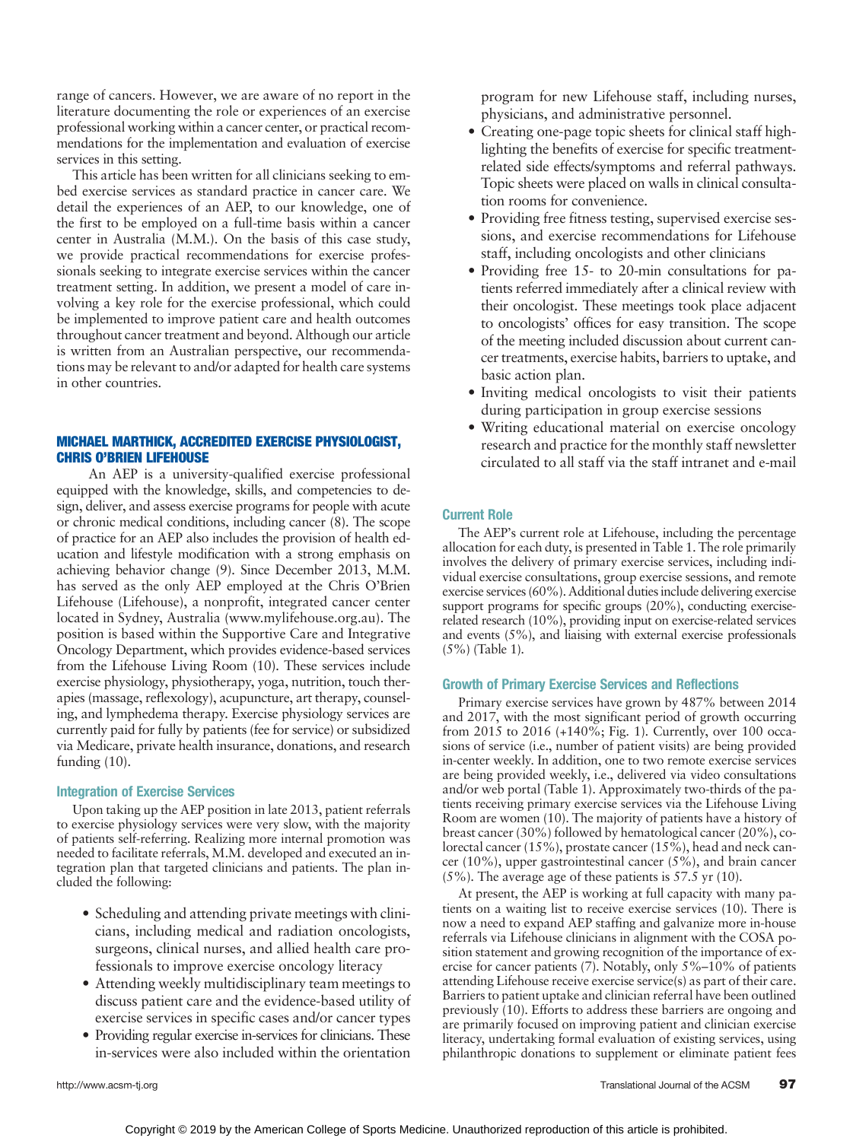range of cancers. However, we are aware of no report in the literature documenting the role or experiences of an exercise professional working within a cancer center, or practical recommendations for the implementation and evaluation of exercise services in this setting.

This article has been written for all clinicians seeking to embed exercise services as standard practice in cancer care. We detail the experiences of an AEP, to our knowledge, one of the first to be employed on a full-time basis within a cancer center in Australia (M.M.). On the basis of this case study, we provide practical recommendations for exercise professionals seeking to integrate exercise services within the cancer treatment setting. In addition, we present a model of care involving a key role for the exercise professional, which could be implemented to improve patient care and health outcomes throughout cancer treatment and beyond. Although our article is written from an Australian perspective, our recommendations may be relevant to and/or adapted for health care systems in other countries.

### MICHAEL MARTHICK, ACCREDITED EXERCISE PHYSIOLOGIST, CHRIS O'BRIEN LIFEHOUSE

An AEP is a university-qualified exercise professional equipped with the knowledge, skills, and competencies to design, deliver, and assess exercise programs for people with acute or chronic medical conditions, including cancer (8). The scope of practice for an AEP also includes the provision of health education and lifestyle modification with a strong emphasis on achieving behavior change (9). Since December 2013, M.M. has served as the only AEP employed at the Chris O'Brien Lifehouse (Lifehouse), a nonprofit, integrated cancer center located in Sydney, Australia [\(www.mylifehouse.org.au\)](http://www.mylifehouse.org.au). The position is based within the Supportive Care and Integrative Oncology Department, which provides evidence-based services from the Lifehouse Living Room (10). These services include exercise physiology, physiotherapy, yoga, nutrition, touch therapies (massage, reflexology), acupuncture, art therapy, counseling, and lymphedema therapy. Exercise physiology services are currently paid for fully by patients (fee for service) or subsidized via Medicare, private health insurance, donations, and research funding (10).

### Integration of Exercise Services

Upon taking up the AEP position in late 2013, patient referrals to exercise physiology services were very slow, with the majority of patients self-referring. Realizing more internal promotion was needed to facilitate referrals, M.M. developed and executed an integration plan that targeted clinicians and patients. The plan included the following:

- Scheduling and attending private meetings with clinicians, including medical and radiation oncologists, surgeons, clinical nurses, and allied health care professionals to improve exercise oncology literacy
- Attending weekly multidisciplinary team meetings to discuss patient care and the evidence-based utility of exercise services in specific cases and/or cancer types
- Providing regular exercise in-services for clinicians. These in-services were also included within the orientation

program for new Lifehouse staff, including nurses, physicians, and administrative personnel.

- Creating one-page topic sheets for clinical staff highlighting the benefits of exercise for specific treatmentrelated side effects/symptoms and referral pathways. Topic sheets were placed on walls in clinical consultation rooms for convenience.
- Providing free fitness testing, supervised exercise sessions, and exercise recommendations for Lifehouse staff, including oncologists and other clinicians
- Providing free 15- to 20-min consultations for patients referred immediately after a clinical review with their oncologist. These meetings took place adjacent to oncologists' offices for easy transition. The scope of the meeting included discussion about current cancer treatments, exercise habits, barriers to uptake, and basic action plan.
- Inviting medical oncologists to visit their patients during participation in group exercise sessions
- Writing educational material on exercise oncology research and practice for the monthly staff newsletter circulated to all staff via the staff intranet and e-mail

### Current Role

The AEP's current role at Lifehouse, including the percentage allocation for each duty, is presented in Table 1. The role primarily involves the delivery of primary exercise services, including individual exercise consultations, group exercise sessions, and remote exercise services (60%). Additional duties include delivering exercise support programs for specific groups (20%), conducting exerciserelated research (10%), providing input on exercise-related services and events (5%), and liaising with external exercise professionals (5%) (Table 1).

### Growth of Primary Exercise Services and Reflections

Primary exercise services have grown by 487% between 2014 and 2017, with the most significant period of growth occurring from 2015 to 2016 (+140%; Fig. 1). Currently, over 100 occasions of service (i.e., number of patient visits) are being provided in-center weekly. In addition, one to two remote exercise services are being provided weekly, i.e., delivered via video consultations and/or web portal (Table 1). Approximately two-thirds of the patients receiving primary exercise services via the Lifehouse Living Room are women (10). The majority of patients have a history of breast cancer (30%) followed by hematological cancer (20%), colorectal cancer (15%), prostate cancer (15%), head and neck cancer (10%), upper gastrointestinal cancer (5%), and brain cancer (5%). The average age of these patients is 57.5 yr (10).

At present, the AEP is working at full capacity with many patients on a waiting list to receive exercise services (10). There is now a need to expand AEP staffing and galvanize more in-house referrals via Lifehouse clinicians in alignment with the COSA position statement and growing recognition of the importance of exercise for cancer patients (7). Notably, only 5%–10% of patients attending Lifehouse receive exercise service(s) as part of their care. Barriers to patient uptake and clinician referral have been outlined previously  $(10)$ . Efforts to address these barriers are ongoing and are primarily focused on improving patient and clinician exercise literacy, undertaking formal evaluation of existing services, using philanthropic donations to supplement or eliminate patient fees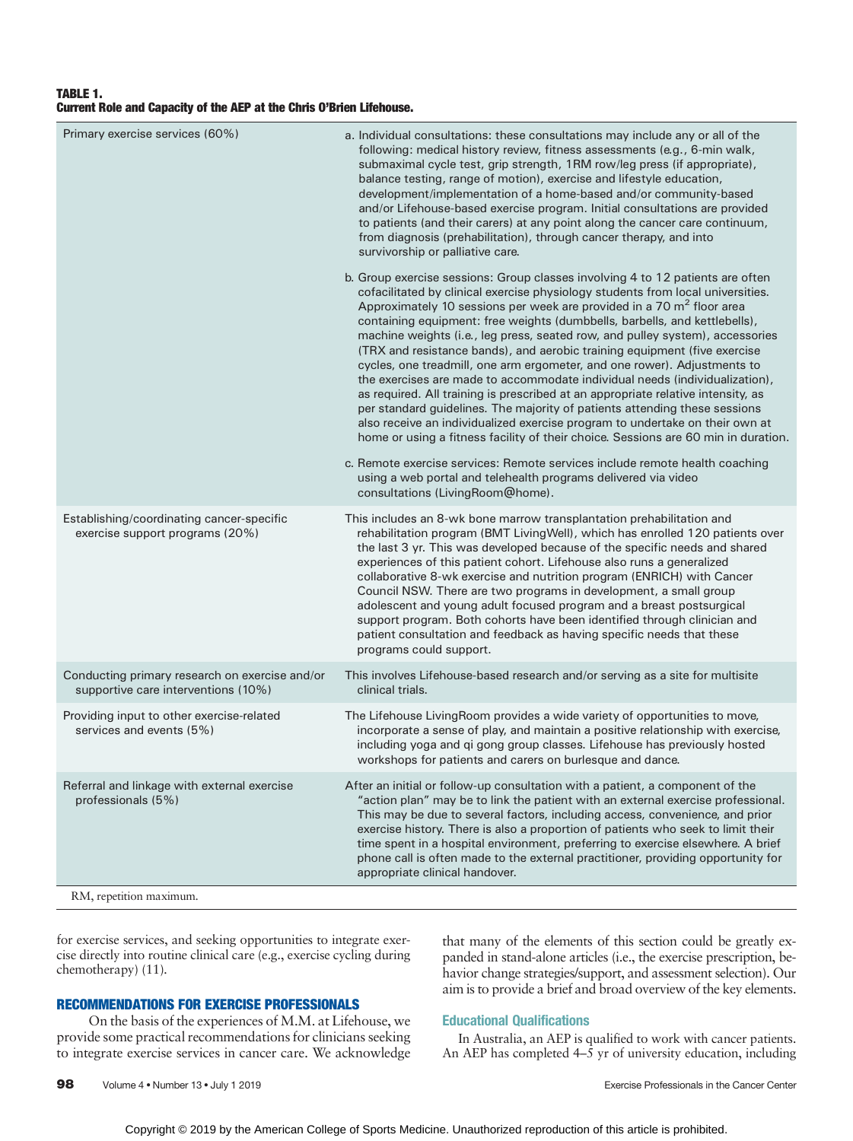### TABLE 1. Current Role and Capacity of the AEP at the Chris O'Brien Lifehouse.

| Primary exercise services (60%)                                                       | a. Individual consultations: these consultations may include any or all of the<br>following: medical history review, fitness assessments (e.g., 6-min walk,<br>submaximal cycle test, grip strength, 1RM row/leg press (if appropriate),<br>balance testing, range of motion), exercise and lifestyle education,<br>development/implementation of a home-based and/or community-based<br>and/or Lifehouse-based exercise program. Initial consultations are provided<br>to patients (and their carers) at any point along the cancer care continuum,<br>from diagnosis (prehabilitation), through cancer therapy, and into<br>survivorship or palliative care.                                                                                                                                                                                                                                                                                                                                        |
|---------------------------------------------------------------------------------------|-------------------------------------------------------------------------------------------------------------------------------------------------------------------------------------------------------------------------------------------------------------------------------------------------------------------------------------------------------------------------------------------------------------------------------------------------------------------------------------------------------------------------------------------------------------------------------------------------------------------------------------------------------------------------------------------------------------------------------------------------------------------------------------------------------------------------------------------------------------------------------------------------------------------------------------------------------------------------------------------------------|
|                                                                                       | b. Group exercise sessions: Group classes involving 4 to 12 patients are often<br>cofacilitated by clinical exercise physiology students from local universities.<br>Approximately 10 sessions per week are provided in a 70 m <sup>2</sup> floor area<br>containing equipment: free weights (dumbbells, barbells, and kettlebells),<br>machine weights (i.e., leg press, seated row, and pulley system), accessories<br>(TRX and resistance bands), and aerobic training equipment (five exercise<br>cycles, one treadmill, one arm ergometer, and one rower). Adjustments to<br>the exercises are made to accommodate individual needs (individualization),<br>as required. All training is prescribed at an appropriate relative intensity, as<br>per standard guidelines. The majority of patients attending these sessions<br>also receive an individualized exercise program to undertake on their own at<br>home or using a fitness facility of their choice. Sessions are 60 min in duration. |
|                                                                                       | c. Remote exercise services: Remote services include remote health coaching<br>using a web portal and telehealth programs delivered via video<br>consultations (LivingRoom@home).                                                                                                                                                                                                                                                                                                                                                                                                                                                                                                                                                                                                                                                                                                                                                                                                                     |
| Establishing/coordinating cancer-specific<br>exercise support programs (20%)          | This includes an 8-wk bone marrow transplantation prehabilitation and<br>rehabilitation program (BMT LivingWell), which has enrolled 120 patients over<br>the last 3 yr. This was developed because of the specific needs and shared<br>experiences of this patient cohort. Lifehouse also runs a generalized<br>collaborative 8-wk exercise and nutrition program (ENRICH) with Cancer<br>Council NSW. There are two programs in development, a small group<br>adolescent and young adult focused program and a breast postsurgical<br>support program. Both cohorts have been identified through clinician and<br>patient consultation and feedback as having specific needs that these<br>programs could support.                                                                                                                                                                                                                                                                                  |
| Conducting primary research on exercise and/or<br>supportive care interventions (10%) | This involves Lifehouse-based research and/or serving as a site for multisite<br>clinical trials.                                                                                                                                                                                                                                                                                                                                                                                                                                                                                                                                                                                                                                                                                                                                                                                                                                                                                                     |
| Providing input to other exercise-related<br>services and events (5%)                 | The Lifehouse Living Room provides a wide variety of opportunities to move,<br>incorporate a sense of play, and maintain a positive relationship with exercise,<br>including yoga and qi gong group classes. Lifehouse has previously hosted<br>workshops for patients and carers on burlesque and dance.                                                                                                                                                                                                                                                                                                                                                                                                                                                                                                                                                                                                                                                                                             |
| Referral and linkage with external exercise<br>professionals (5%)                     | After an initial or follow-up consultation with a patient, a component of the<br>"action plan" may be to link the patient with an external exercise professional.<br>This may be due to several factors, including access, convenience, and prior<br>exercise history. There is also a proportion of patients who seek to limit their<br>time spent in a hospital environment, preferring to exercise elsewhere. A brief<br>phone call is often made to the external practitioner, providing opportunity for<br>appropriate clinical handover.                                                                                                                                                                                                                                                                                                                                                                                                                                                        |
| RM, repetition maximum.                                                               |                                                                                                                                                                                                                                                                                                                                                                                                                                                                                                                                                                                                                                                                                                                                                                                                                                                                                                                                                                                                       |

for exercise services, and seeking opportunities to integrate exercise directly into routine clinical care (e.g., exercise cycling during chemotherapy) (11).

### RECOMMENDATIONS FOR EXERCISE PROFESSIONALS

On the basis of the experiences of M.M. at Lifehouse, we provide some practical recommendations for clinicians seeking to integrate exercise services in cancer care. We acknowledge

that many of the elements of this section could be greatly expanded in stand-alone articles (i.e., the exercise prescription, behavior change strategies/support, and assessment selection). Our aim is to provide a brief and broad overview of the key elements.

### Educational Qualifications

In Australia, an AEP is qualified to work with cancer patients. An AEP has completed  $4-\overline{5}$  yr of university education, including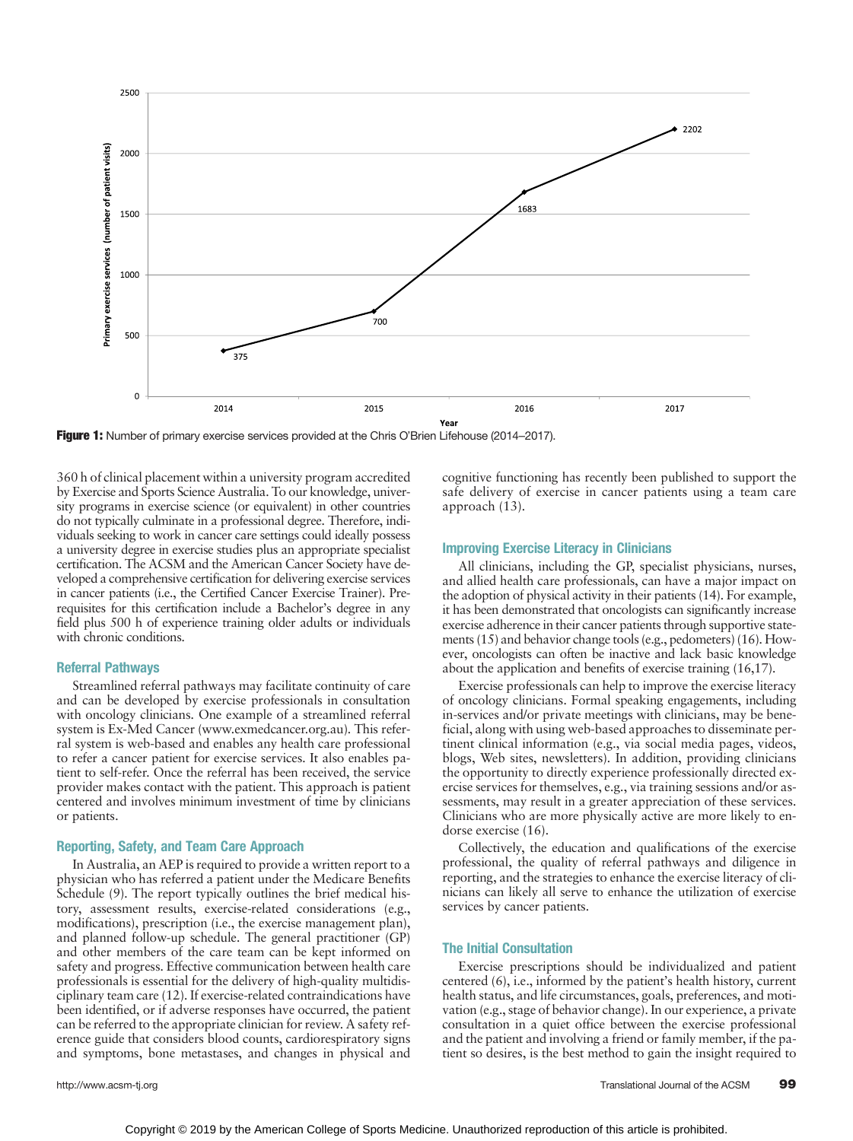

Figure 1: Number of primary exercise services provided at the Chris O'Brien Lifehouse (2014–2017).

360 h of clinical placement within a university program accredited by Exercise and Sports Science Australia. To our knowledge, university programs in exercise science (or equivalent) in other countries do not typically culminate in a professional degree. Therefore, individuals seeking to work in cancer care settings could ideally possess a university degree in exercise studies plus an appropriate specialist certification. The ACSM and the American Cancer Society have developed a comprehensive certification for delivering exercise services in cancer patients (i.e., the Certified Cancer Exercise Trainer). Prerequisites for this certification include a Bachelor's degree in any field plus 500 h of experience training older adults or individuals with chronic conditions.

### Referral Pathways

Streamlined referral pathways may facilitate continuity of care and can be developed by exercise professionals in consultation with oncology clinicians. One example of a streamlined referral system is Ex-Med Cancer ([www.exmedcancer.org.au\)](http://www.exmedcancer.org.au). This referral system is web-based and enables any health care professional to refer a cancer patient for exercise services. It also enables patient to self-refer. Once the referral has been received, the service provider makes contact with the patient. This approach is patient centered and involves minimum investment of time by clinicians or patients.

### Reporting, Safety, and Team Care Approach

In Australia, an AEP is required to provide a written report to a physician who has referred a patient under the Medicare Benefits Schedule (9). The report typically outlines the brief medical history, assessment results, exercise-related considerations (e.g., modifications), prescription (i.e., the exercise management plan), and planned follow-up schedule. The general practitioner (GP) and other members of the care team can be kept informed on safety and progress. Effective communication between health care professionals is essential for the delivery of high-quality multidisciplinary team care (12). If exercise-related contraindications have been identified, or if adverse responses have occurred, the patient can be referred to the appropriate clinician for review. A safety reference guide that considers blood counts, cardiorespiratory signs and symptoms, bone metastases, and changes in physical and

cognitive functioning has recently been published to support the safe delivery of exercise in cancer patients using a team care approach (13).

### Improving Exercise Literacy in Clinicians

All clinicians, including the GP, specialist physicians, nurses, and allied health care professionals, can have a major impact on the adoption of physical activity in their patients (14). For example, it has been demonstrated that oncologists can significantly increase exercise adherence in their cancer patients through supportive statements (15) and behavior change tools (e.g., pedometers) (16). However, oncologists can often be inactive and lack basic knowledge about the application and benefits of exercise training (16,17).

Exercise professionals can help to improve the exercise literacy of oncology clinicians. Formal speaking engagements, including in-services and/or private meetings with clinicians, may be beneficial, along with using web-based approaches to disseminate pertinent clinical information (e.g., via social media pages, videos, blogs, Web sites, newsletters). In addition, providing clinicians the opportunity to directly experience professionally directed exercise services for themselves, e.g., via training sessions and/or assessments, may result in a greater appreciation of these services. Clinicians who are more physically active are more likely to endorse exercise (16).

Collectively, the education and qualifications of the exercise professional, the quality of referral pathways and diligence in reporting, and the strategies to enhance the exercise literacy of clinicians can likely all serve to enhance the utilization of exercise services by cancer patients.

### The Initial Consultation

Exercise prescriptions should be individualized and patient centered (6), i.e., informed by the patient's health history, current health status, and life circumstances, goals, preferences, and motivation (e.g., stage of behavior change). In our experience, a private consultation in a quiet office between the exercise professional and the patient and involving a friend or family member, if the patient so desires, is the best method to gain the insight required to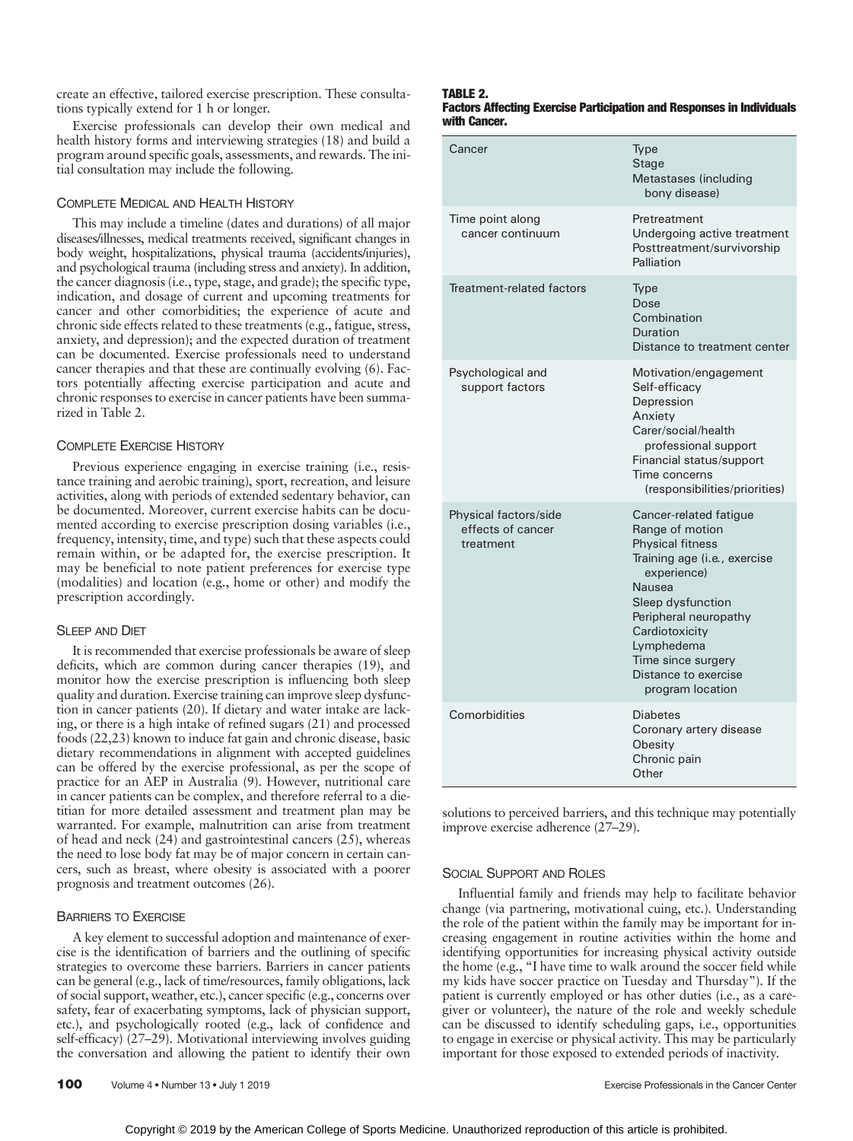create an effective, tailored exercise prescription. These consultations typically extend for 1 h or longer.

Exercise professionals can develop their own medical and health history forms and interviewing strategies (18) and build a program around specific goals, assessments, and rewards. The initial consultation may include the following.

### COMPLETE MEDICAL AND HEALTH HISTORY

This may include a timeline (dates and durations) of all major diseases/illnesses, medical treatments received, significant changes in body weight, hospitalizations, physical trauma (accidents/injuries), and psychological trauma (including stress and anxiety). In addition, the cancer diagnosis (i.e., type, stage, and grade); the specific type, indication, and dosage of current and upcoming treatments for cancer and other comorbidities; the experience of acute and chronic side effects related to these treatments (e.g., fatigue, stress, anxiety, and depression); and the expected duration of treatment can be documented. Exercise professionals need to understand cancer therapies and that these are continually evolving (6). Factors potentially affecting exercise participation and acute and chronic responses to exercise in cancer patients have been summarized in Table 2.

### COMPLETE EXERCISE HISTORY

Previous experience engaging in exercise training (i.e., resistance training and aerobic training), sport, recreation, and leisure activities, along with periods of extended sedentary behavior, can be documented. Moreover, current exercise habits can be documented according to exercise prescription dosing variables (i.e., frequency, intensity, time, and type) such that these aspects could remain within, or be adapted for, the exercise prescription. It may be beneficial to note patient preferences for exercise type (modalities) and location (e.g., home or other) and modify the

### SLEEP AND DIET

It is recommended that exercise professionals be aware of sleep deficits, which are common during cancer therapies (19), and monitor how the exercise prescription is influencing both sleep quality and duration. Exercise training can improve sleep dysfunction in cancer patients (20). If dietary and water intake are lacking, or there is a high intake of refined sugars (21) and processed foods (22,23) known to induce fat gain and chronic disease, basic dietary recommendations in alignment with accepted guidelines can be offered by the exercise professional, as per the scope of practice for an AEP in Australia (9). However, nutritional care in cancer patients can be complex, and therefore referral to a dietitian for more detailed assessment and treatment plan may be warranted. For example, malnutrition can arise from treatment of head and neck (24) and gastrointestinal cancers (25), whereas the need to lose body fat may be of major concern in certain cancers, such as breast, where obesity is associated with a poorer prognosis and treatment outcomes (26).

### BARRIERS TO EXERCISE

A key element to successful adoption and maintenance of exercise is the identification of barriers and the outlining of specific strategies to overcome these barriers. Barriers in cancer patients can be general (e.g., lack of time/resources, family obligations, lack of social support, weather, etc.), cancer specific (e.g., concerns over safety, fear of exacerbating symptoms, lack of physician support, etc.), and psychologically rooted (e.g., lack of confidence and self-efficacy) (27–29). Motivational interviewing involves guiding the conversation and allowing the patient to identify their own

prescription accordingly.

### TARI F 2 Factors Affecting Exercise Participation and Responses in Individuals with Cancer.

| Cancer                                                  | Type<br><b>Stage</b><br>Metastases (including<br>bony disease)                                                                                                                                                                                                                       |
|---------------------------------------------------------|--------------------------------------------------------------------------------------------------------------------------------------------------------------------------------------------------------------------------------------------------------------------------------------|
| Time point along<br>cancer continuum                    | Pretreatment<br>Undergoing active treatment<br>Posttreatment/survivorship<br>Palliation                                                                                                                                                                                              |
| Treatment-related factors                               | Type<br>Dose<br>Combination<br>Duration<br>Distance to treatment center                                                                                                                                                                                                              |
| Psychological and<br>support factors                    | Motivation/engagement<br>Self-efficacy<br>Depression<br>Anxiety<br>Carer/social/health<br>professional support<br>Financial status/support<br>Time concerns<br>(responsibilities/priorities)                                                                                         |
| Physical factors/side<br>effects of cancer<br>treatment | Cancer-related fatigue<br>Range of motion<br><b>Physical fitness</b><br>Training age (i.e., exercise<br>experience)<br><b>Nausea</b><br>Sleep dysfunction<br>Peripheral neuropathy<br>Cardiotoxicity<br>Lymphedema<br>Time since surgery<br>Distance to exercise<br>program location |
| Comorbidities                                           | <b>Diabetes</b><br>Coronary artery disease<br>Obesity<br>Chronic pain<br>Other                                                                                                                                                                                                       |

solutions to perceived barriers, and this technique may potentially improve exercise adherence (27–29).

### SOCIAL SUPPORT AND ROLES

Influential family and friends may help to facilitate behavior change (via partnering, motivational cuing, etc.). Understanding the role of the patient within the family may be important for increasing engagement in routine activities within the home and identifying opportunities for increasing physical activity outside the home (e.g., "I have time to walk around the soccer field while my kids have soccer practice on Tuesday and Thursday"). If the patient is currently employed or has other duties (i.e., as a caregiver or volunteer), the nature of the role and weekly schedule can be discussed to identify scheduling gaps, i.e., opportunities to engage in exercise or physical activity. This may be particularly important for those exposed to extended periods of inactivity.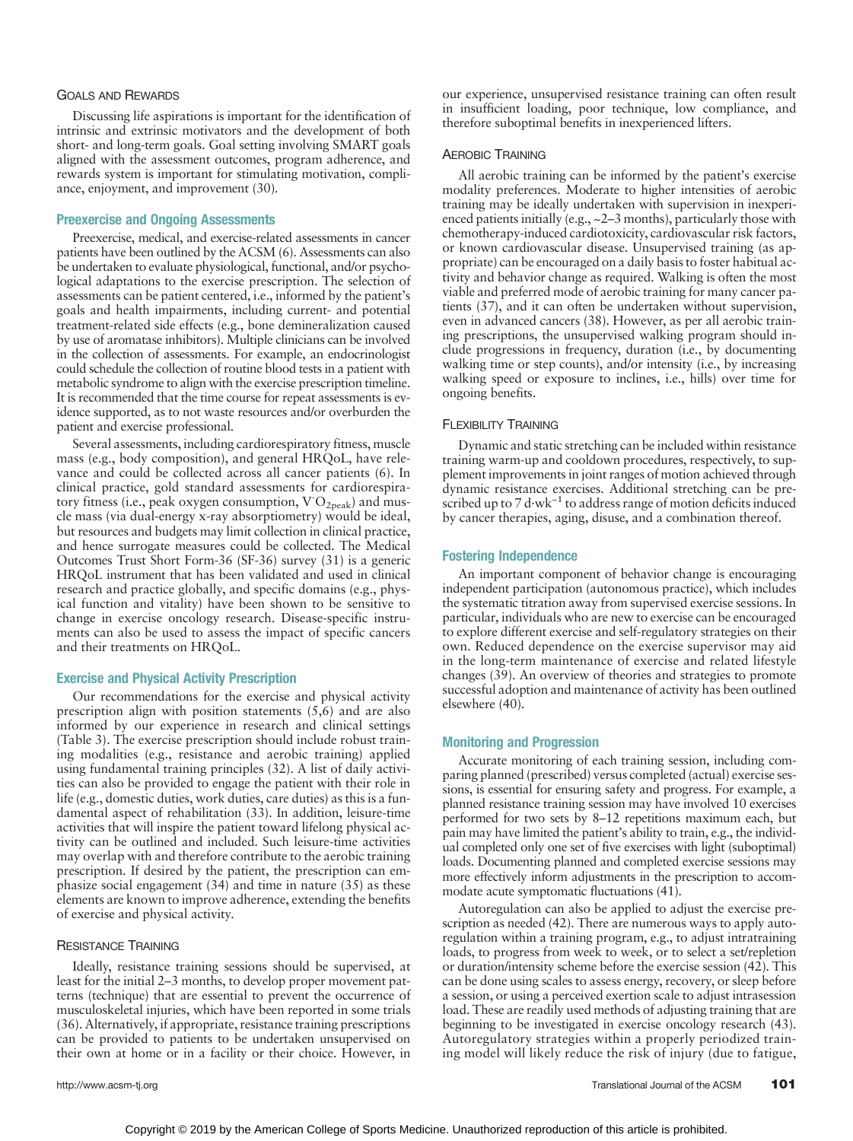### GOALS AND REWARDS

Discussing life aspirations is important for the identification of intrinsic and extrinsic motivators and the development of both short- and long-term goals. Goal setting involving SMART goals aligned with the assessment outcomes, program adherence, and rewards system is important for stimulating motivation, compliance, enjoyment, and improvement (30).

### Preexercise and Ongoing Assessments

Preexercise, medical, and exercise-related assessments in cancer patients have been outlined by the ACSM (6). Assessments can also be undertaken to evaluate physiological, functional, and/or psychological adaptations to the exercise prescription. The selection of assessments can be patient centered, i.e., informed by the patient's goals and health impairments, including current- and potential treatment-related side effects (e.g., bone demineralization caused by use of aromatase inhibitors). Multiple clinicians can be involved in the collection of assessments. For example, an endocrinologist could schedule the collection of routine blood tests in a patient with metabolic syndrome to align with the exercise prescription timeline. It is recommended that the time course for repeat assessments is evidence supported, as to not waste resources and/or overburden the patient and exercise professional.

Several assessments, including cardiorespiratory fitness, muscle mass (e.g., body composition), and general HRQoL, have relevance and could be collected across all cancer patients (6). In clinical practice, gold standard assessments for cardiorespiratory fitness (i.e., peak oxygen consumption,  $\text{V'O}_{2\text{peak}}$ ) and muscle mass (via dual-energy x-ray absorptiometry) would be ideal, but resources and budgets may limit collection in clinical practice, and hence surrogate measures could be collected. The Medical Outcomes Trust Short Form-36 (SF-36) survey (31) is a generic HRQoL instrument that has been validated and used in clinical research and practice globally, and specific domains (e.g., physical function and vitality) have been shown to be sensitive to change in exercise oncology research. Disease-specific instruments can also be used to assess the impact of specific cancers and their treatments on HRQoL.

### Exercise and Physical Activity Prescription

Our recommendations for the exercise and physical activity prescription align with position statements (5,6) and are also informed by our experience in research and clinical settings (Table 3). The exercise prescription should include robust training modalities (e.g., resistance and aerobic training) applied using fundamental training principles (32). A list of daily activities can also be provided to engage the patient with their role in life (e.g., domestic duties, work duties, care duties) as this is a fundamental aspect of rehabilitation (33). In addition, leisure-time activities that will inspire the patient toward lifelong physical activity can be outlined and included. Such leisure-time activities may overlap with and therefore contribute to the aerobic training prescription. If desired by the patient, the prescription can emphasize social engagement (34) and time in nature (35) as these elements are known to improve adherence, extending the benefits of exercise and physical activity.

### RESISTANCE TRAINING

Ideally, resistance training sessions should be supervised, at least for the initial 2–3 months, to develop proper movement patterns (technique) that are essential to prevent the occurrence of musculoskeletal injuries, which have been reported in some trials (36). Alternatively, if appropriate, resistance training prescriptions can be provided to patients to be undertaken unsupervised on their own at home or in a facility or their choice. However, in our experience, unsupervised resistance training can often result in insufficient loading, poor technique, low compliance, and therefore suboptimal benefits in inexperienced lifters.

### AEROBIC TRAINING

All aerobic training can be informed by the patient's exercise modality preferences. Moderate to higher intensities of aerobic training may be ideally undertaken with supervision in inexperienced patients initially (e.g., ~2–3 months), particularly those with chemotherapy-induced cardiotoxicity, cardiovascular risk factors, or known cardiovascular disease. Unsupervised training (as appropriate) can be encouraged on a daily basis to foster habitual activity and behavior change as required. Walking is often the most viable and preferred mode of aerobic training for many cancer patients (37), and it can often be undertaken without supervision, even in advanced cancers (38). However, as per all aerobic training prescriptions, the unsupervised walking program should include progressions in frequency, duration (i.e., by documenting walking time or step counts), and/or intensity (i.e., by increasing walking speed or exposure to inclines, i.e., hills) over time for ongoing benefits.

### FLEXIBILITY TRAINING

Dynamic and static stretching can be included within resistance training warm-up and cooldown procedures, respectively, to supplement improvements in joint ranges of motion achieved through dynamic resistance exercises. Additional stretching can be prescribed up to 7 d·wk<sup>-1</sup> to address range of motion deficits induced by cancer therapies, aging, disuse, and a combination thereof.

### Fostering Independence

An important component of behavior change is encouraging independent participation (autonomous practice), which includes the systematic titration away from supervised exercise sessions. In particular, individuals who are new to exercise can be encouraged to explore different exercise and self-regulatory strategies on their own. Reduced dependence on the exercise supervisor may aid in the long-term maintenance of exercise and related lifestyle changes (39). An overview of theories and strategies to promote successful adoption and maintenance of activity has been outlined elsewhere (40).

### Monitoring and Progression

Accurate monitoring of each training session, including comparing planned (prescribed) versus completed (actual) exercise sessions, is essential for ensuring safety and progress. For example, a planned resistance training session may have involved 10 exercises performed for two sets by 8–12 repetitions maximum each, but pain may have limited the patient's ability to train, e.g., the individual completed only one set of five exercises with light (suboptimal) loads. Documenting planned and completed exercise sessions may more effectively inform adjustments in the prescription to accommodate acute symptomatic fluctuations (41).

Autoregulation can also be applied to adjust the exercise prescription as needed (42). There are numerous ways to apply autoregulation within a training program, e.g., to adjust intratraining loads, to progress from week to week, or to select a set/repletion or duration/intensity scheme before the exercise session (42). This can be done using scales to assess energy, recovery, or sleep before a session, or using a perceived exertion scale to adjust intrasession load. These are readily used methods of adjusting training that are beginning to be investigated in exercise oncology research (43). Autoregulatory strategies within a properly periodized training model will likely reduce the risk of injury (due to fatigue,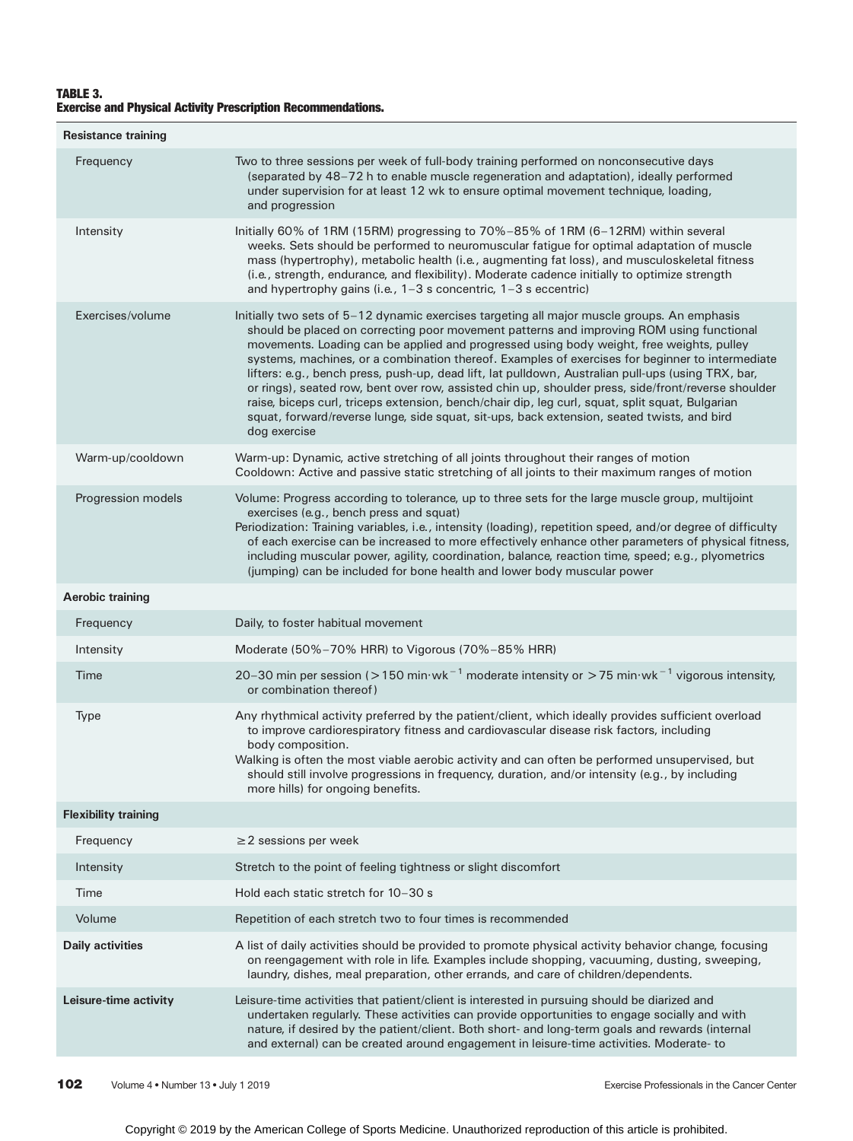### TABLE 3. Exercise and Physical Activity Prescription Recommendations.

| <b>Resistance training</b>  |                                                                                                                                                                                                                                                                                                                                                                                                                                                                                                                                                                                                                                                                                                                                                                                                                      |
|-----------------------------|----------------------------------------------------------------------------------------------------------------------------------------------------------------------------------------------------------------------------------------------------------------------------------------------------------------------------------------------------------------------------------------------------------------------------------------------------------------------------------------------------------------------------------------------------------------------------------------------------------------------------------------------------------------------------------------------------------------------------------------------------------------------------------------------------------------------|
| Frequency                   | Two to three sessions per week of full-body training performed on nonconsecutive days<br>(separated by 48-72 h to enable muscle regeneration and adaptation), ideally performed<br>under supervision for at least 12 wk to ensure optimal movement technique, loading,<br>and progression                                                                                                                                                                                                                                                                                                                                                                                                                                                                                                                            |
| Intensity                   | Initially 60% of 1RM (15RM) progressing to 70%-85% of 1RM (6-12RM) within several<br>weeks. Sets should be performed to neuromuscular fatigue for optimal adaptation of muscle<br>mass (hypertrophy), metabolic health (i.e., augmenting fat loss), and musculoskeletal fitness<br>(i.e., strength, endurance, and flexibility). Moderate cadence initially to optimize strength<br>and hypertrophy gains (i.e., $1-3$ s concentric, $1-3$ s eccentric)                                                                                                                                                                                                                                                                                                                                                              |
| Exercises/volume            | Initially two sets of 5-12 dynamic exercises targeting all major muscle groups. An emphasis<br>should be placed on correcting poor movement patterns and improving ROM using functional<br>movements. Loading can be applied and progressed using body weight, free weights, pulley<br>systems, machines, or a combination thereof. Examples of exercises for beginner to intermediate<br>lifters: e.g., bench press, push-up, dead lift, lat pulldown, Australian pull-ups (using TRX, bar,<br>or rings), seated row, bent over row, assisted chin up, shoulder press, side/front/reverse shoulder<br>raise, biceps curl, triceps extension, bench/chair dip, leg curl, squat, split squat, Bulgarian<br>squat, forward/reverse lunge, side squat, sit-ups, back extension, seated twists, and bird<br>dog exercise |
| Warm-up/cooldown            | Warm-up: Dynamic, active stretching of all joints throughout their ranges of motion<br>Cooldown: Active and passive static stretching of all joints to their maximum ranges of motion                                                                                                                                                                                                                                                                                                                                                                                                                                                                                                                                                                                                                                |
| Progression models          | Volume: Progress according to tolerance, up to three sets for the large muscle group, multijoint<br>exercises (e.g., bench press and squat)<br>Periodization: Training variables, i.e., intensity (loading), repetition speed, and/or degree of difficulty<br>of each exercise can be increased to more effectively enhance other parameters of physical fitness,<br>including muscular power, agility, coordination, balance, reaction time, speed; e.g., plyometrics<br>(jumping) can be included for bone health and lower body muscular power                                                                                                                                                                                                                                                                    |
| <b>Aerobic training</b>     |                                                                                                                                                                                                                                                                                                                                                                                                                                                                                                                                                                                                                                                                                                                                                                                                                      |
| Frequency                   | Daily, to foster habitual movement                                                                                                                                                                                                                                                                                                                                                                                                                                                                                                                                                                                                                                                                                                                                                                                   |
| Intensity                   | Moderate (50%-70% HRR) to Vigorous (70%-85% HRR)                                                                                                                                                                                                                                                                                                                                                                                                                                                                                                                                                                                                                                                                                                                                                                     |
| Time                        | 20-30 min per session (>150 min·wk <sup>-1</sup> moderate intensity or >75 min·wk <sup>-1</sup> vigorous intensity,<br>or combination thereof)                                                                                                                                                                                                                                                                                                                                                                                                                                                                                                                                                                                                                                                                       |
| Type                        | Any rhythmical activity preferred by the patient/client, which ideally provides sufficient overload<br>to improve cardiorespiratory fitness and cardiovascular disease risk factors, including<br>body composition.<br>Walking is often the most viable aerobic activity and can often be performed unsupervised, but<br>should still involve progressions in frequency, duration, and/or intensity (e.g., by including<br>more hills) for ongoing benefits.                                                                                                                                                                                                                                                                                                                                                         |
| <b>Flexibility training</b> |                                                                                                                                                                                                                                                                                                                                                                                                                                                                                                                                                                                                                                                                                                                                                                                                                      |
| Frequency                   | $\geq$ 2 sessions per week                                                                                                                                                                                                                                                                                                                                                                                                                                                                                                                                                                                                                                                                                                                                                                                           |
| Intensity                   | Stretch to the point of feeling tightness or slight discomfort                                                                                                                                                                                                                                                                                                                                                                                                                                                                                                                                                                                                                                                                                                                                                       |
| Time                        | Hold each static stretch for 10-30 s                                                                                                                                                                                                                                                                                                                                                                                                                                                                                                                                                                                                                                                                                                                                                                                 |
| Volume                      | Repetition of each stretch two to four times is recommended                                                                                                                                                                                                                                                                                                                                                                                                                                                                                                                                                                                                                                                                                                                                                          |
| <b>Daily activities</b>     | A list of daily activities should be provided to promote physical activity behavior change, focusing<br>on reengagement with role in life. Examples include shopping, vacuuming, dusting, sweeping,<br>laundry, dishes, meal preparation, other errands, and care of children/dependents.                                                                                                                                                                                                                                                                                                                                                                                                                                                                                                                            |
| Leisure-time activity       | Leisure-time activities that patient/client is interested in pursuing should be diarized and<br>undertaken regularly. These activities can provide opportunities to engage socially and with<br>nature, if desired by the patient/client. Both short- and long-term goals and rewards (internal<br>and external) can be created around engagement in leisure-time activities. Moderate-to                                                                                                                                                                                                                                                                                                                                                                                                                            |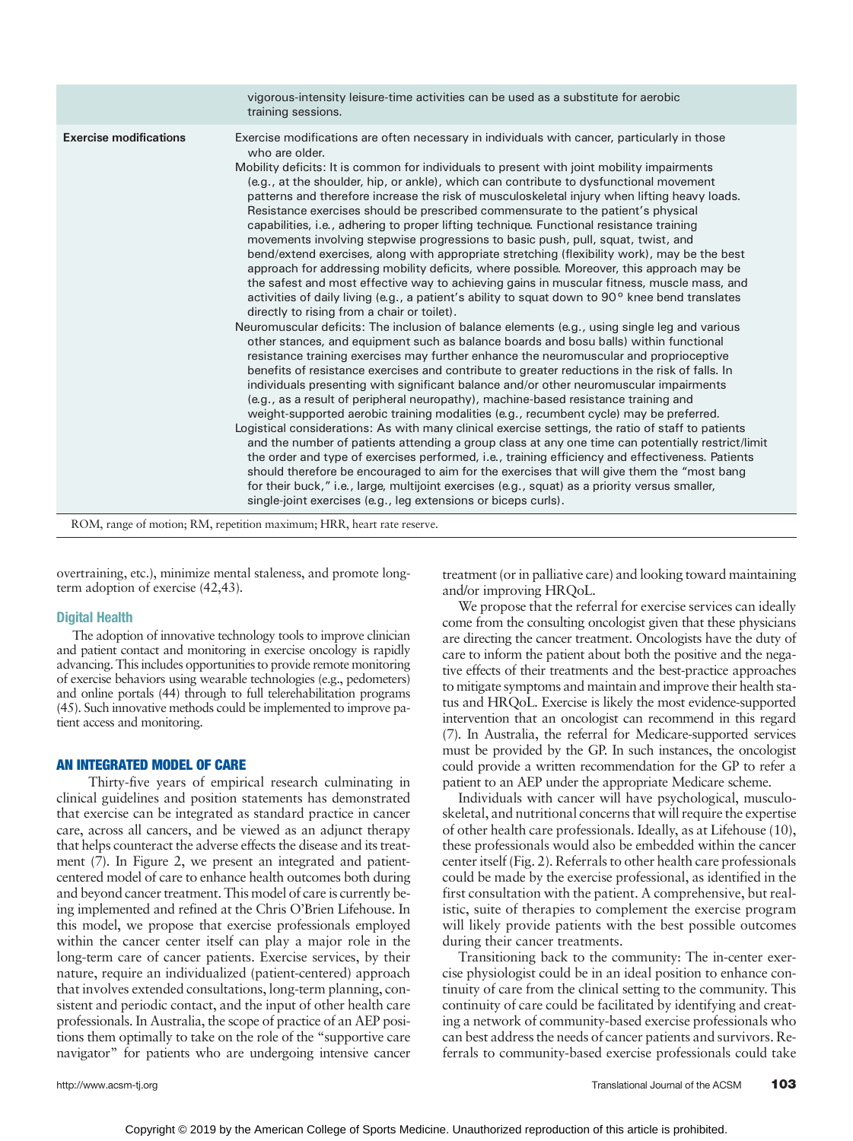|                               | vigorous-intensity leisure-time activities can be used as a substitute for aerobic<br>training sessions.                                                                                                                                                                                                                                                                                                                                                                                                                                                                                                                                                                                                                                                                                                                                                                                                                                                                                                                                                                                                                                                                                                                                                                                                                                                                                                                                                                                                                                                                                                                                                                                                                                                                                                                                                                                                                                                                                                                                                                                                                                                                                                                                                                                                                                                                           |
|-------------------------------|------------------------------------------------------------------------------------------------------------------------------------------------------------------------------------------------------------------------------------------------------------------------------------------------------------------------------------------------------------------------------------------------------------------------------------------------------------------------------------------------------------------------------------------------------------------------------------------------------------------------------------------------------------------------------------------------------------------------------------------------------------------------------------------------------------------------------------------------------------------------------------------------------------------------------------------------------------------------------------------------------------------------------------------------------------------------------------------------------------------------------------------------------------------------------------------------------------------------------------------------------------------------------------------------------------------------------------------------------------------------------------------------------------------------------------------------------------------------------------------------------------------------------------------------------------------------------------------------------------------------------------------------------------------------------------------------------------------------------------------------------------------------------------------------------------------------------------------------------------------------------------------------------------------------------------------------------------------------------------------------------------------------------------------------------------------------------------------------------------------------------------------------------------------------------------------------------------------------------------------------------------------------------------------------------------------------------------------------------------------------------------|
| <b>Exercise modifications</b> | Exercise modifications are often necessary in individuals with cancer, particularly in those<br>who are older.<br>Mobility deficits: It is common for individuals to present with joint mobility impairments<br>(e.g., at the shoulder, hip, or ankle), which can contribute to dysfunctional movement<br>patterns and therefore increase the risk of musculoskeletal injury when lifting heavy loads.<br>Resistance exercises should be prescribed commensurate to the patient's physical<br>capabilities, i.e., adhering to proper lifting technique. Functional resistance training<br>movements involving stepwise progressions to basic push, pull, squat, twist, and<br>bend/extend exercises, along with appropriate stretching (flexibility work), may be the best<br>approach for addressing mobility deficits, where possible. Moreover, this approach may be<br>the safest and most effective way to achieving gains in muscular fitness, muscle mass, and<br>activities of daily living (e.g., a patient's ability to squat down to $90^{\circ}$ knee bend translates<br>directly to rising from a chair or toilet).<br>Neuromuscular deficits: The inclusion of balance elements (e.g., using single leg and various<br>other stances, and equipment such as balance boards and bosu balls) within functional<br>resistance training exercises may further enhance the neuromuscular and proprioceptive<br>benefits of resistance exercises and contribute to greater reductions in the risk of falls. In<br>individuals presenting with significant balance and/or other neuromuscular impairments<br>(e.g., as a result of peripheral neuropathy), machine-based resistance training and<br>weight-supported aerobic training modalities (e.g., recumbent cycle) may be preferred.<br>Logistical considerations: As with many clinical exercise settings, the ratio of staff to patients<br>and the number of patients attending a group class at any one time can potentially restrict/limit<br>the order and type of exercises performed, i.e., training efficiency and effectiveness. Patients<br>should therefore be encouraged to aim for the exercises that will give them the "most bang<br>for their buck," i.e., large, multijoint exercises (e.g., squat) as a priority versus smaller,<br>single-joint exercises (e.g., leg extensions or biceps curls). |
|                               |                                                                                                                                                                                                                                                                                                                                                                                                                                                                                                                                                                                                                                                                                                                                                                                                                                                                                                                                                                                                                                                                                                                                                                                                                                                                                                                                                                                                                                                                                                                                                                                                                                                                                                                                                                                                                                                                                                                                                                                                                                                                                                                                                                                                                                                                                                                                                                                    |

ROM, range of motion; RM, repetition maximum; HRR, heart rate reserve.

overtraining, etc.), minimize mental staleness, and promote longterm adoption of exercise (42,43).

### Digital Health

The adoption of innovative technology tools to improve clinician and patient contact and monitoring in exercise oncology is rapidly advancing. This includes opportunities to provide remote monitoring of exercise behaviors using wearable technologies (e.g., pedometers) and online portals (44) through to full telerehabilitation programs (45). Such innovative methods could be implemented to improve patient access and monitoring.

### AN INTEGRATED MODEL OF CARE

Thirty-five years of empirical research culminating in clinical guidelines and position statements has demonstrated that exercise can be integrated as standard practice in cancer care, across all cancers, and be viewed as an adjunct therapy that helps counteract the adverse effects the disease and its treatment (7). In Figure 2, we present an integrated and patientcentered model of care to enhance health outcomes both during and beyond cancer treatment. This model of care is currently being implemented and refined at the Chris O'Brien Lifehouse. In this model, we propose that exercise professionals employed within the cancer center itself can play a major role in the long-term care of cancer patients. Exercise services, by their nature, require an individualized (patient-centered) approach that involves extended consultations, long-term planning, consistent and periodic contact, and the input of other health care professionals. In Australia, the scope of practice of an AEP positions them optimally to take on the role of the "supportive care navigator" for patients who are undergoing intensive cancer treatment (or in palliative care) and looking toward maintaining and/or improving HRQoL.

We propose that the referral for exercise services can ideally come from the consulting oncologist given that these physicians are directing the cancer treatment. Oncologists have the duty of care to inform the patient about both the positive and the negative effects of their treatments and the best-practice approaches to mitigate symptoms and maintain and improve their health status and HRQoL. Exercise is likely the most evidence-supported intervention that an oncologist can recommend in this regard (7). In Australia, the referral for Medicare-supported services must be provided by the GP. In such instances, the oncologist could provide a written recommendation for the GP to refer a patient to an AEP under the appropriate Medicare scheme.

Individuals with cancer will have psychological, musculoskeletal, and nutritional concerns that will require the expertise of other health care professionals. Ideally, as at Lifehouse (10), these professionals would also be embedded within the cancer center itself (Fig. 2). Referrals to other health care professionals could be made by the exercise professional, as identified in the first consultation with the patient. A comprehensive, but realistic, suite of therapies to complement the exercise program will likely provide patients with the best possible outcomes during their cancer treatments.

Transitioning back to the community: The in-center exercise physiologist could be in an ideal position to enhance continuity of care from the clinical setting to the community. This continuity of care could be facilitated by identifying and creating a network of community-based exercise professionals who can best address the needs of cancer patients and survivors. Referrals to community-based exercise professionals could take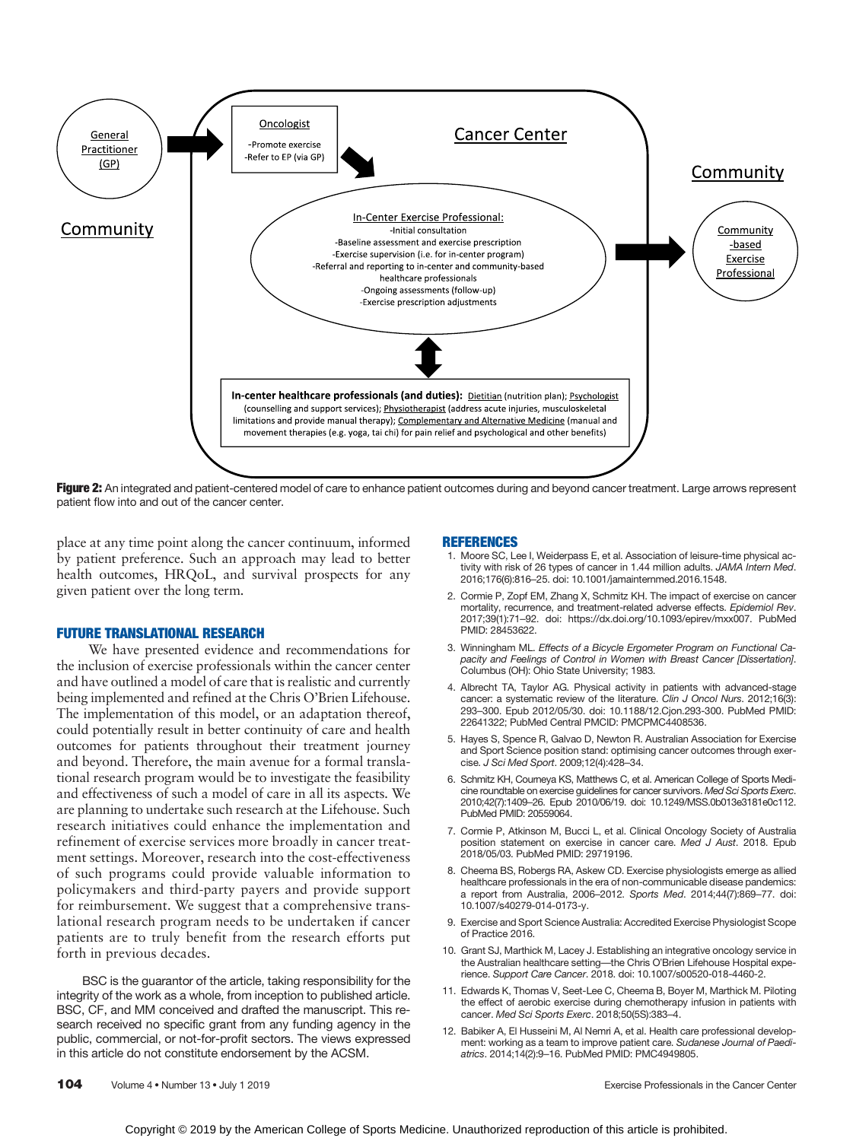

Figure 2: An integrated and patient-centered model of care to enhance patient outcomes during and beyond cancer treatment. Large arrows represent patient flow into and out of the cancer center.

place at any time point along the cancer continuum, informed by patient preference. Such an approach may lead to better health outcomes, HRQoL, and survival prospects for any given patient over the long term.

### FUTURE TRANSLATIONAL RESEARCH

We have presented evidence and recommendations for the inclusion of exercise professionals within the cancer center and have outlined a model of care that is realistic and currently being implemented and refined at the Chris O'Brien Lifehouse. The implementation of this model, or an adaptation thereof, could potentially result in better continuity of care and health outcomes for patients throughout their treatment journey and beyond. Therefore, the main avenue for a formal translational research program would be to investigate the feasibility and effectiveness of such a model of care in all its aspects. We are planning to undertake such research at the Lifehouse. Such research initiatives could enhance the implementation and refinement of exercise services more broadly in cancer treatment settings. Moreover, research into the cost-effectiveness of such programs could provide valuable information to policymakers and third-party payers and provide support for reimbursement. We suggest that a comprehensive translational research program needs to be undertaken if cancer patients are to truly benefit from the research efforts put forth in previous decades.

BSC is the guarantor of the article, taking responsibility for the integrity of the work as a whole, from inception to published article. BSC, CF, and MM conceived and drafted the manuscript. This research received no specific grant from any funding agency in the public, commercial, or not-for-profit sectors. The views expressed in this article do not constitute endorsement by the ACSM.

### REFERENCES

- 1. Moore SC, Lee I, Weiderpass E, et al. Association of leisure-time physical activity with risk of 26 types of cancer in 1.44 million adults. JAMA Intern Med. 2016;176(6):816–25. doi: 10.1001/jamainternmed.2016.1548.
- 2. Cormie P, Zopf EM, Zhang X, Schmitz KH. The impact of exercise on cancer mortality, recurrence, and treatment-related adverse effects. Epidemiol Rev. 2017;39(1):71–92. doi: https://dx.doi.org/10.1093/epirev/mxx007. PubMed PMID: 28453622.
- 3. Winningham ML. Effects of a Bicycle Ergometer Program on Functional Capacity and Feelings of Control in Women with Breast Cancer [Dissertation]. Columbus (OH): Ohio State University; 1983.
- 4. Albrecht TA, Taylor AG. Physical activity in patients with advanced-stage cancer: a systematic review of the literature. Clin J Oncol Nurs. 2012;16(3): 293–300. Epub 2012/05/30. doi: 10.1188/12.Cjon.293-300. PubMed PMID: 22641322; PubMed Central PMCID: PMCPMC4408536.
- 5. Hayes S, Spence R, Galvao D, Newton R. Australian Association for Exercise and Sport Science position stand: optimising cancer outcomes through exercise. J Sci Med Sport. 2009;12(4):428–34.
- 6. Schmitz KH, Courneya KS, Matthews C, et al. American College of Sports Medicine roundtable on exercise guidelines for cancer survivors. Med Sci Sports Exerc. 2010;42(7):1409–26. Epub 2010/06/19. doi: 10.1249/MSS.0b013e3181e0c112. PubMed PMID: 20559064.
- 7. Cormie P, Atkinson M, Bucci L, et al. Clinical Oncology Society of Australia position statement on exercise in cancer care. Med J Aust. 2018. Epub 2018/05/03. PubMed PMID: 29719196.
- 8. Cheema BS, Robergs RA, Askew CD. Exercise physiologists emerge as allied healthcare professionals in the era of non-communicable disease pandemics: a report from Australia, 2006–2012. Sports Med. 2014;44(7):869–77. doi: 10.1007/s40279-014-0173-y.
- 9. Exercise and Sport Science Australia: Accredited Exercise Physiologist Scope of Practice 2016.
- 10. Grant SJ, Marthick M, Lacey J. Establishing an integrative oncology service in the Australian healthcare setting—the Chris O'Brien Lifehouse Hospital experience. Support Care Cancer. 2018. doi: 10.1007/s00520-018-4460-2.
- 11. Edwards K, Thomas V, Seet-Lee C, Cheema B, Boyer M, Marthick M. Piloting the effect of aerobic exercise during chemotherapy infusion in patients with cancer. Med Sci Sports Exerc. 2018;50(5S):383–4.
- 12. Babiker A, El Husseini M, Al Nemri A, et al. Health care professional development: working as a team to improve patient care. Sudanese Journal of Paediatrics. 2014;14(2):9–16. PubMed PMID: PMC4949805.

104 Volume 4 • Number 13 • July 1 2019 **Cancer Center** Exercise Professionals in the Cancer Center